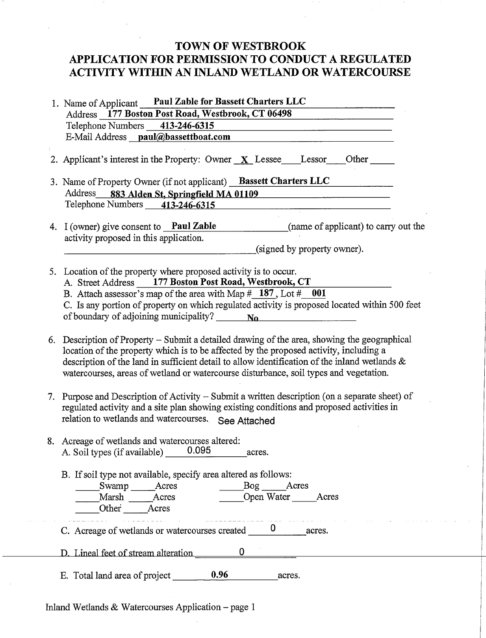## TOWN OF WESTBROOK APPLICATION FOR PERMISSION TO CONDUCT A REGULATED ACTIVITY WITHIN AN INLAND WETLAND OR WATERCOURSE

|    | 1. Name of Applicant Paul Zable for Bassett Charters LLC                                                                                                                                                                                                                                                                                                                      |
|----|-------------------------------------------------------------------------------------------------------------------------------------------------------------------------------------------------------------------------------------------------------------------------------------------------------------------------------------------------------------------------------|
|    | Address 177 Boston Post Road, Westbrook, CT 06498                                                                                                                                                                                                                                                                                                                             |
|    | Telephone Numbers 413-246-6315                                                                                                                                                                                                                                                                                                                                                |
|    | E-Mail Address paul@bassettboat.com                                                                                                                                                                                                                                                                                                                                           |
|    | 2. Applicant's interest in the Property: Owner $X$ Lessee Lessor<br>Other                                                                                                                                                                                                                                                                                                     |
|    | 3. Name of Property Owner (if not applicant) Bassett Charters LLC                                                                                                                                                                                                                                                                                                             |
|    | Address<br>883 Alden St, Springfield MA 01109                                                                                                                                                                                                                                                                                                                                 |
|    | Telephone Numbers 413-246-6315                                                                                                                                                                                                                                                                                                                                                |
|    | (name of applicant) to carry out the<br>4. I (owner) give consent to <b>Paul Zable</b><br>activity proposed in this application.                                                                                                                                                                                                                                              |
|    | (signed by property owner).                                                                                                                                                                                                                                                                                                                                                   |
| 5. | Location of the property where proposed activity is to occur.<br>A. Street Address 177 Boston Post Road, Westbrook, CT<br>B. Attach assessor's map of the area with Map $\frac{\# 187}{4}$ , Lot $\frac{\# 001}{4}$                                                                                                                                                           |
|    | C. Is any portion of property on which regulated activity is proposed located within 500 feet<br>of boundary of adjoining municipality? $\frac{N_0}{N_0}$                                                                                                                                                                                                                     |
| 6. | Description of Property - Submit a detailed drawing of the area, showing the geographical<br>location of the property which is to be affected by the proposed activity, including a<br>description of the land in sufficient detail to allow identification of the inland wetlands &<br>watercourses, areas of wetland or watercourse disturbance, soil types and vegetation. |
| 7. | Purpose and Description of Activity – Submit a written description (on a separate sheet) of<br>regulated activity and a site plan showing existing conditions and proposed activities in<br>relation to wetlands and watercourses. See Attached                                                                                                                               |
|    | 8. Acreage of wetlands and watercourses altered:<br>0.095<br>A. Soil types (if available)<br>acres.                                                                                                                                                                                                                                                                           |
|    | B. If soil type not available, specify area altered as follows:<br>Swamp Acres Bog Acres<br>Marsh Acres Dopen Water<br>Open Water _______Acres<br>Other Acres                                                                                                                                                                                                                 |
|    | والرابات والمرابط المرابط المرابط والمرابط والمتحدث<br>C. Acreage of wetlands or watercourses created $\qquad 0$ acres.                                                                                                                                                                                                                                                       |
|    |                                                                                                                                                                                                                                                                                                                                                                               |
|    | E. Total land area of project 0.96 acres.                                                                                                                                                                                                                                                                                                                                     |

Inland Wetlands & Watercourses Application — page 1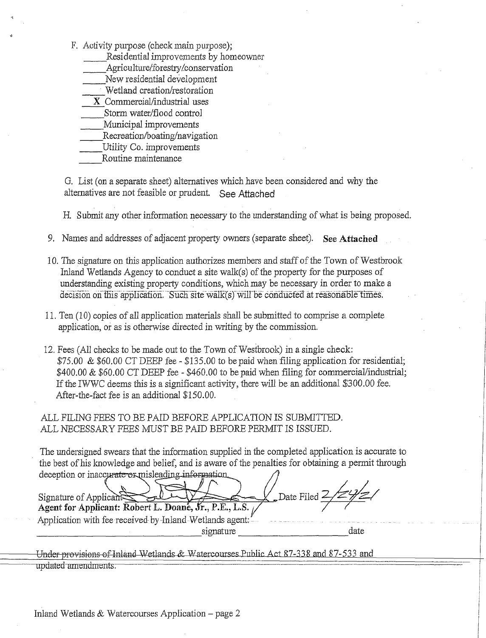- F, Activity purpose (check main purpose);
	- Residential improvements by homeowner
	- Agriculture/forestry/conservation
	- New residential development
	- Wetland creation/restoration
	- X Commercial/industrial uses
	- Storm water/flood control
	- Municipal improvements
	- Recreation/boating/navigation
	- Utility Co. improvements

Routine maintenance

G. List (on a separate sheet) alternatives which have been considered and why the alternatives are not feasible or prudent. See Attached

H. Submit any other information necessary to the understanding of what is being proposed.

- 9. Names and addresses of adjacent property owners (separate sheet). See **Attached**
- 10.The signature on this application authorizes members and staff of the Town of Westbrook Inland Wetlands Agency to conduct a site walk(s) of the property for the purposes of understanding existing property conditions, which may be necessary in order to make a decision on this application. Such site walk(s) will be conducted at reasonable times.
- 11.Ten (10) copies of all application materials shall be submitted to comprise a complete application, or as is otherwise directed in writing by the commission.
- 12.Fees (All checks to be made out to the Town of Westbrook) in a single check: \$75.00 & \$60.00 CT DEEP fee - \$135.00 to be paid when filing application for residential; \$400.00 & \$60.00 CT DEEP fee - \$460.00 to be paid when filing for commercial/industrial; If the IWWC deems this is a significant activity, there will be an additional \$300.00 fee, After-the-fact fee is an additional \$150.00.

ALL FILING FEES TO BE PAID BEFORE APPLICATION IS SUBMITTED. ALL NECESSARY FEES MUST BE PAID BEFORE PERMIT IS ISSUED.

The undersigned swears that the information supplied in the completed application is accurate to the best of his knowledge and belief, and is aware of the penalties for obtaining a permit through deception or inaccurate or misleading information.

deception or inaccurate or misleading information<br>Signature of Applicant: Robert L. Doane, Jr., P.E., L.S. Application with fee received-by-Inland-Wetlands agent; date signature

Under provisions of Inland Wetlands & Watercourses Public Act 87-338 and 87-533 and updated amendments.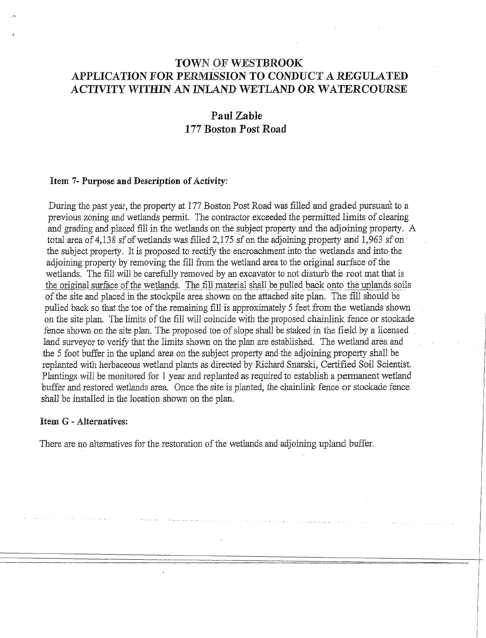## TOWN OF WESTBROOK APPLICATION FOR PERMISSION TO CONDUCT A REGULATED ACTIVITY WITHIN AN INLAND. WETLAND OR WATERCOURSE

### **Pail** *Zable* **177 Boston Post Road**

#### *Item 7-* **Purpose** *and* Description of Activity:

During the past year, the property at 177 Boston Post Road was filled and graded pursuant to a previous zoning and wetlands permit. The contractor exceeded the permitted limits of clearing and grading and placed fill in the wetlands on the subject property and the adjoining property. A total area of 4,138 sf of wetlands was filled 2,175 sf on the adjoining property and 1,963 sf on ' the subject property, It is proposed to rectify the encroachment into the wetlands and into the adjoining property by removing the fill from the wetland area to the original surface of the wetlands. The fill will be carefully removed by an excavator to not disturb the root mat that is the original surface of the wetlands. The fill material shall be pulled back onto the uplands soils of the site and placed in the stockpile area shown on the attached site plan. The fill should be pulled back so that the toe of the remaining fill is approximately 5 feet from the wetlands shown on the site plan. The limits of the fill will coincide with the proposed chainlink fence or stockade fence shown on the site plan. The proposed toe of slope shall be staked in the field by a licensed land surveyor to verify that the limits shown on the plan are established. The wetland area and the 5 foot buffer in the upland area on the subject property and the adjoining property shall be replanted with herbaceous wetland plants as directed by Richard Snarski, Certified Soil Scientist. Plantings will be monitored for 1 year and replanted as required to establish a permanent wetland buffer and restored wetlands area. Once the site is planted, the chainlink fence or stockade fence shall be installed in the location shown on the plan.

#### *Item G -* **Alternatives:**

There are no alternatives for the restoration of the wetlands and adjoining upland buffer.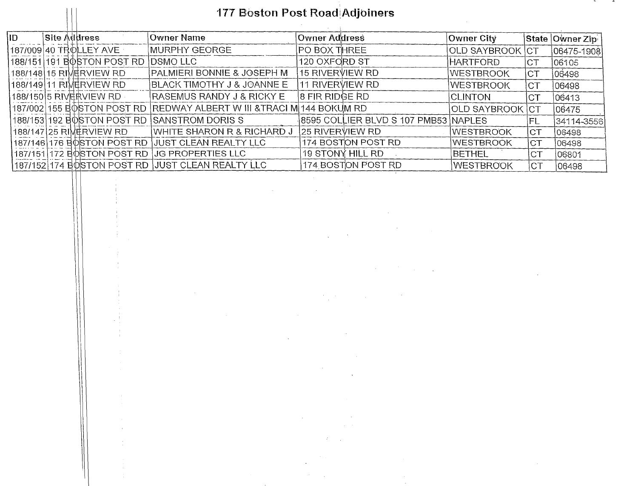## 177 Boston Post Road Adjoiners

 $\sim$ 

 $\sim 10$ 

| ID- |  | <b>Site Address</b>        | ∣Owner Name                                | Owner Address                        | Owner City       |      | State Owner Zip  |
|-----|--|----------------------------|--------------------------------------------|--------------------------------------|------------------|------|------------------|
|     |  | 187/009 40 TROLLEY AVE     | IMURPHY GEORGE                             | PO BOX THREE                         | OLD SAYBROOK CT  |      | $ 06475 - 1908 $ |
|     |  | 188/151 191 BOSTON POST RD | DSMO LLC                                   | 120 OXFORD ST                        | <b>HARTFORD</b>  | CT.  | 06105            |
|     |  | 188/148 15 RIMERVIEW RD    | PALMIERI BONNIE & JOSEPH M                 | 15 RIVERVIEW RD                      | <b>WESTBROOK</b> | CT   | 06498            |
|     |  | 188/149 11 RIMERVIEW RD    | BLACK TIMOTHY J & JOANNE E                 | 11 RIVERVIEW RD                      | <b>WESTBROOK</b> | CT   | 06498            |
|     |  | 188/150I5 RIV愖RVIEW RD -   | RASEMUS RANDY J & RICKY E                  | 8 FIR RIDGE RD                       | <b>CLINTON</b>   | ICT. | 06413            |
|     |  | 187/002 155 BOSTON POST RD | IREDWAY ALBERT W III &TRACI MI144 BOKUM RD |                                      | OLD SAYBROOK CT  |      | 106475           |
|     |  | 188/153 192 BOSTON POST RD | <b>SANSTROM DORIS S</b>                    | 8595 COLLIER BLVD S 107 PMB53 NAPLES |                  | IFL  | 34114-3556       |
|     |  | 188/147 25 RIMERVIEW RD    | WHITE SHARON R & RICHARD J                 | 25 RIVERVIEW RD                      | <b>WESTBROOK</b> | CT   | 106498           |
|     |  | 187/146 176 BOSTON POST RD | JUST CLEAN REALTY LLC                      | 174 BOSTON POST RD                   | WESTBROOK        | CT.  | 106498           |
|     |  | 187/151 172 BOSTON POST RD | UG PROPERTIES LLC                          | 19 STONY HILL RD                     | <b>IBETHEL</b>   | CT   | 06801            |
|     |  | 187/152 174 BOSTON POST RD | JUST CLEAN REALTY LLC                      | 174 BOSTON POST RD                   | <b>WESTBROOK</b> | ICT  | 06498            |

 $\frac{1}{2}$ 

 $\sim$   $\sim$ 

 $\frac{1}{2} \int_{\mathbb{R}^3} \frac{1}{\sqrt{2}} \, \mathrm{d} x$ 

 $\label{eq:2.1} \mathcal{L}^{\mathcal{A}}_{\mathcal{A}}=\frac{1}{2}\sum_{i=1}^{n} \frac{1}{2} \sum_{i=1}^{n} \frac{1}{2} \sum_{i=1}^{n} \frac{1}{2} \sum_{i=1}^{n} \frac{1}{2} \sum_{i=1}^{n} \frac{1}{2} \sum_{i=1}^{n} \frac{1}{2} \sum_{i=1}^{n} \frac{1}{2} \sum_{i=1}^{n} \frac{1}{2} \sum_{i=1}^{n} \frac{1}{2} \sum_{i=1}^{n} \frac{1}{2} \sum_{i=1}^{n} \frac{1}{$ 

 $\bar{\mathbf{v}}$ 

 $\sim$   $\sim$ 

 $\mathcal{F}^{\mathcal{G}}_{\mathcal{F}}$  and  $\mathcal{F}^{\mathcal{G}}_{\mathcal{F}}$ 

 $\sim 10^6$ 

 $\bar{\alpha}$ 

 $\mathcal{O}(10^6)$  . The  $\mathcal{O}(10^6)$ 

 $\sim 10$ 

 $\sim 10^{-1}$ 

 $\label{eq:2.1} \mathcal{L}(\mathcal{L}^{\text{max}}_{\mathcal{L}}(\mathcal{L}^{\text{max}}_{\mathcal{L}}(\mathcal{L}^{\text{max}}_{\mathcal{L}}(\mathcal{L}^{\text{max}}_{\mathcal{L}^{\text{max}}_{\mathcal{L}}(\mathcal{L}^{\text{max}}_{\mathcal{L}^{\text{max}}_{\mathcal{L}^{\text{max}}_{\mathcal{L}^{\text{max}}_{\mathcal{L}^{\text{max}}_{\mathcal{L}^{\text{max}}_{\mathcal{L}^{\text{max}}_{\mathcal{L}^{\text{max}}_{\mathcal{L}^{\text{max}}$ 

 $\sim$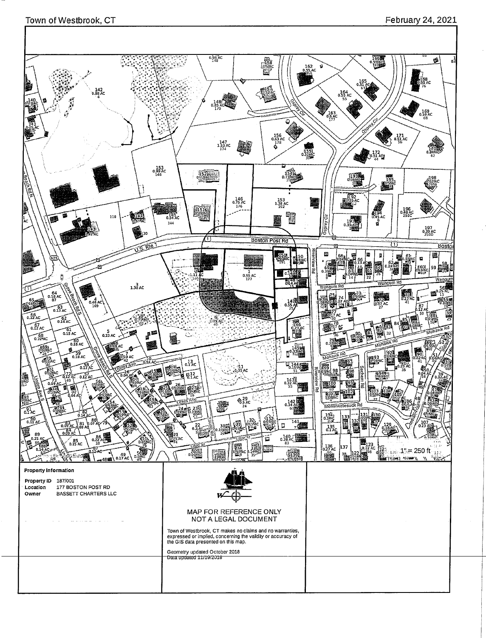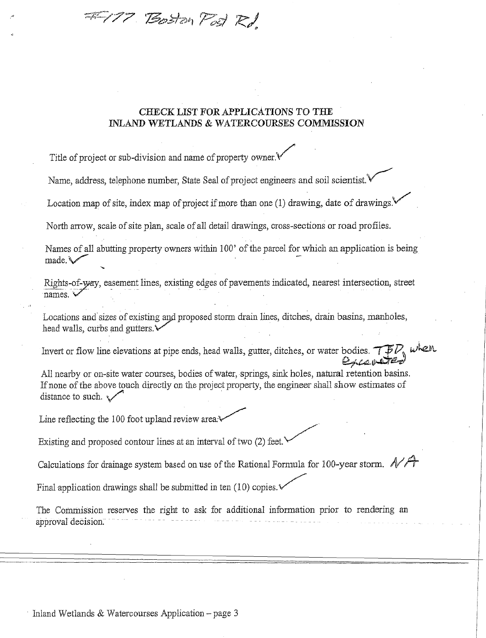=177 Boston Post Rd

#### **CHECK LIST FOR APPLICATIONS TO THE INLAND WETLANDS & WATERCOURSES COMMISSION**

Title of project or sub-division and name of property owner.

Name, address, telephone number, State Seal of project engineers and soil scientist.

Location map of site, index map of project if more than one (1) drawing, date of drawings.

North arrow, scale of site plan, scale of all detail drawings, cross-sections or road profiles.

Names of all abutting property owners within 100' of the parcel for which an application is being made. a

Rights-of-way, easement lines, existing edges of pavements indicated, nearest intersection, street names.

Locations and sizes of existing and proposed storm drain lines, ditches, drain basins, manholes, head walls, curbs and gutters.

Invert or flow line elevations at pipe ends, head walls, gutter, ditches, or water bodies.  $\widehat{\mathcal{TFD}}_s$  when

Excapetted

All nearby or on-site water courses, bodies of water, springs, sink holes, natural retention basins. If none of the above touch directly on the project property, the engineer shall show estimates of distance to such.  $\sqrt{ }$ 

Line reflecting the 100 foot upland review area:\

Existing and proposed contour lines at an interval of two (2) feet.

Calculations for drainage system based on use of the Rational Formula for 100-year storm.  $N$ 

Final application drawings shall be submitted in ten  $(10)$  copies.

The Commission reserves the right to ask for additional information prior to rendering an apptoval decision

Inland Wetlands & Watercourses Application — page 3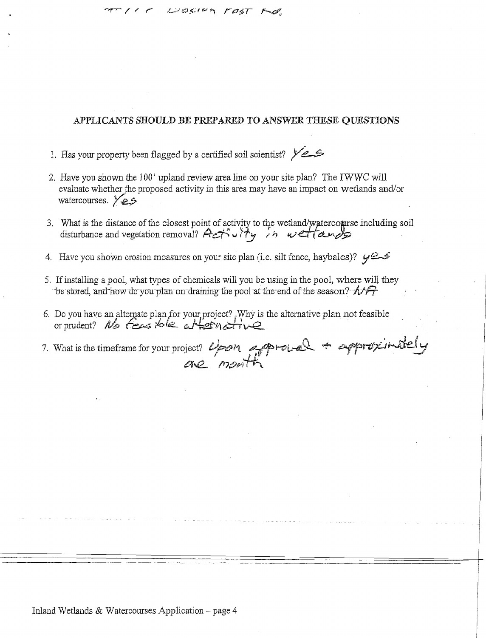#### APPLICANTS **SHOULD BE PREPARED** TO ANSWER **THESE** QUESTIONS

1. Has your property been flagged by a certified soil scientist?  $\sqrt{2}$ 

COSIEA FOST

- 2. Have you shown the 100' upland review area line on your site plan? The IWWC will evaluate whether the proposed activity in this area may have an impact on wetlands and/or watercourses.  $\sqrt{25}$
- 3. What is the distance of the closest point of activity to the wetland/watercomrse including soil disturbance and vegetation removal? Actor't with in weltands
- 4. Have you shown erosion measures on your site plan (i.e. silt fence, haybales)?  $\varphi \in \mathcal{L}$
- 5. If installing a pool, what types of chemicals will you be using in the pool, where will they be stored, and how do you plan-on-draining the pool-at-the-end of the season?  $\sqrt{r^2}$
- 6. Do you have an alternate plan for your project? Why is the alternative plan not feasible or prudent? No feasible attending

7. What is the timeframe for your project?  $\omega_{par}$  approusel + approximately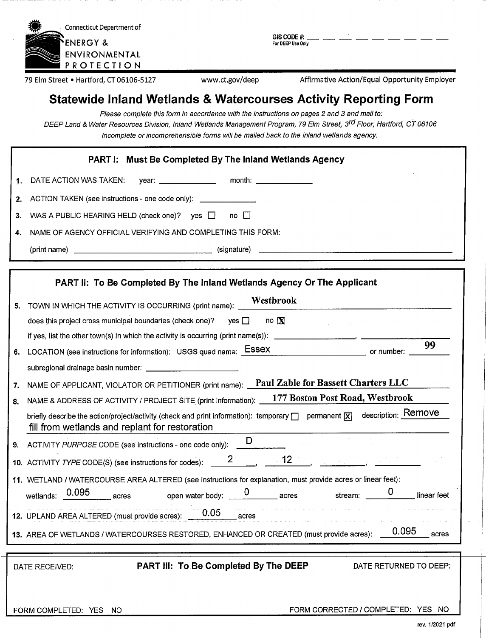| Connecticut Department of |
|---------------------------|
| <b>*ENERGY &amp;</b>      |
| ENVIRONMENTAL             |
| PROTECTION                |

**GISCODE** #: **For DEEP Use Only**

79 Elm Street • Hartford, CT 06106-5127 www.ct.gov/deep Affirmative Action/Equal Opportunity Employer

# **Statewide Inland Wetlands & Watercourses Activity Reporting Form**

Please complete this form in accordance with the instructions on pages 2 and 3 and mail to: DEEP Land & Water Resources Division, Inland Wetlands Management Program, 79 Elm Street, 3<sup>rd</sup> Floor, Hartford, CT 06106 Incomplete or incomprehensible forms will be mailed back to the inland wetlands agency.

|             | <b>PART I: Must Be Completed By The Inland Wetlands Agency</b>                                              |
|-------------|-------------------------------------------------------------------------------------------------------------|
| $\mathbf 1$ | month: $\frac{1}{\sqrt{1-\frac{1}{2}}\cdot\frac{1}{2}}$<br>DATE ACTION WAS TAKEN:<br>year: ________________ |
|             | 2. ACTION TAKEN (see instructions - one code only): ______________                                          |
|             | 3. WAS A PUBLIC HEARING HELD (check one)? yes □ no □                                                        |
| 4.          | NAME OF AGENCY OFFICIAL VERIFYING AND COMPLETING THIS FORM:                                                 |
|             | (signature)                                                                                                 |

|     | PART II: To Be Completed By The Inland Wetlands Agency Or The Applicant                                                                                                                                             |
|-----|---------------------------------------------------------------------------------------------------------------------------------------------------------------------------------------------------------------------|
| 5.  | Westbrook<br>TOWN IN WHICH THE ACTIVITY IS OCCURRING (print name):                                                                                                                                                  |
|     | does this project cross municipal boundaries (check one)? yes $\Box$<br>no $\mathbf N$                                                                                                                              |
|     | if yes, list the other town(s) in which the activity is occurring (print name(s)):                                                                                                                                  |
| 6.  | 99<br>LOCATION (see instructions for information): USGS quad name: ESSEX<br>or number:                                                                                                                              |
|     |                                                                                                                                                                                                                     |
| 7.  | Paul Zable for Bassett Charters LLC<br>NAME OF APPLICANT, VIOLATOR OR PETITIONER (print name):                                                                                                                      |
| 8.  | 177 Boston Post Road, Westbrook<br>NAME & ADDRESS OF ACTIVITY / PROJECT SITE (print information):                                                                                                                   |
|     | description: Remove<br>briefly describe the action/project/activity (check and print information): temporary $\Box$ permanent $ \overline{X} $<br>fill from wetlands and replant for restoration                    |
| 9.1 | ACTIVITY PURPOSE CODE (see instructions - one code only): $\Box$                                                                                                                                                    |
|     |                                                                                                                                                                                                                     |
|     | 11. WETLAND / WATERCOURSE AREA ALTERED (see instructions for explanation, must provide acres or linear feet):                                                                                                       |
|     | open water body: $\begin{array}{ccc} 0 & \hspace{2.5cm} \text{acres} \end{array}$ stream: $\begin{array}{ccc} \text{O} & \hspace{2.5cm} \end{array}$<br>wetlands: $\frac{0.095}{\sqrt{0.095}}$ acres<br>linear feet |
|     | 12. UPLAND AREA ALTERED (must provide acres): 0.05 acres                                                                                                                                                            |
|     | 0.095<br>13. AREA OF WETLANDS / WATERCOURSES RESTORED, ENHANCED OR CREATED (must provide acres):<br>acres                                                                                                           |
|     |                                                                                                                                                                                                                     |
|     | <b>PART III: To Be Completed By The DEEP</b><br>DATE RETURNED TO DEEP:<br>DATE RECEIVED:                                                                                                                            |